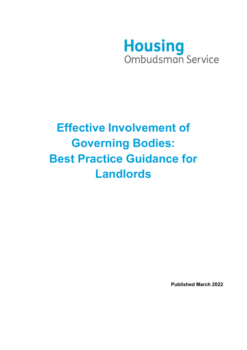

# **Effective Involvement of Governing Bodies: Best Practice Guidance for Landlords**

**Published March 2022**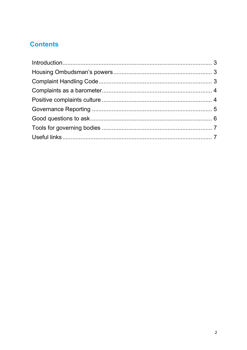# **Contents**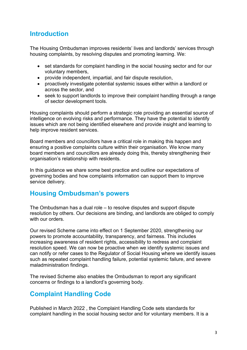## <span id="page-2-0"></span>**Introduction**

The Housing Ombudsman improves residents' lives and landlords' services through housing complaints, by resolving disputes and promoting learning. We:

- set standards for complaint handling in the social housing sector and for our voluntary members,
- provide independent, impartial, and fair dispute resolution,
- proactively investigate potential systemic issues either within a landlord or across the sector, and
- seek to support landlords to improve their complaint handling through a range of sector development tools.

Housing complaints should perform a strategic role providing an essential source of intelligence on evolving risks and performance. They have the potential to identify issues which are not being identified elsewhere and provide insight and learning to help improve resident services.

Board members and councillors have a critical role in making this happen and ensuring a positive complaints culture within their organisation. We know many board members and councillors are already doing this, thereby strengthening their organisation's relationship with residents.

In this guidance we share some best practice and outline our expectations of governing bodies and how complaints information can support them to improve service delivery.

## <span id="page-2-1"></span>**Housing Ombudsman's powers**

The Ombudsman has a dual role – to resolve disputes and support dispute resolution by others. Our decisions are binding, and landlords are obliged to comply with our orders.

Our revised Scheme came into effect on 1 September 2020, strengthening our powers to promote accountability, transparency, and fairness. This includes increasing awareness of resident rights, accessibility to redress and complaint resolution speed. We can now be proactive when we identify systemic issues and can notify or refer cases to the Regulator of Social Housing where we identify issues such as repeated complaint handling failure, potential systemic failure, and severe maladministration findings.

The revised Scheme also enables the Ombudsman to report any significant concerns or findings to a landlord's governing body.

## <span id="page-2-2"></span>**Complaint Handling Code**

Published in March 2022 , the Complaint Handling Code sets standards for complaint handling in the social housing sector and for voluntary members. It is a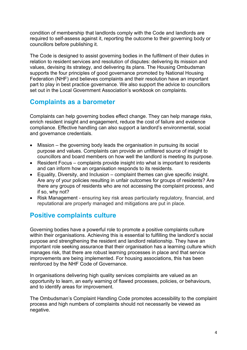condition of membership that landlords comply with the Code and landlords are required to self-assess against it, reporting the outcome to their governing body or councillors before publishing it.

The Code is designed to assist governing bodies in the fulfilment of their duties in relation to resident services and resolution of disputes: delivering its mission and values, devising its strategy, and delivering its plans. The Housing Ombudsman supports the four principles of good governance promoted by National Housing Federation (NHF) and believes complaints and their resolution have an important part to play in best practice governance. We also support the advice to councillors set out in the Local Government Association's workbook on complaints.

## <span id="page-3-0"></span>**Complaints as a barometer**

Complaints can help governing bodies effect change. They can help manage risks, enrich resident insight and engagement, reduce the cost of failure and evidence compliance. Effective handling can also support a landlord's environmental, social and governance credentials.

- Mission the governing body leads the organisation in pursuing its social purpose and values. Complaints can provide an unfiltered source of insight to councillors and board members on how well the landlord is meeting its purpose.
- Resident Focus complaints provide insight into what is important to residents and can inform how an organisation responds to its residents.
- Equality, Diversity, and Inclusion complaint themes can give specific insight. Are any of your policies resulting in unfair outcomes for groups of residents? Are there any groups of residents who are not accessing the complaint process, and if so, why not?
- Risk Management ensuring key risk areas particularly regulatory, financial, and reputational are properly managed and mitigations are put in place.

## <span id="page-3-1"></span>**Positive complaints culture**

Governing bodies have a powerful role to promote a positive complaints culture within their organisations. Achieving this is essential to fulfilling the landlord's social purpose and strengthening the resident and landlord relationship. They have an important role seeking assurance that their organisation has a learning culture which manages risk, that there are robust learning processes in place and that service improvements are being implemented. For housing associations, this has been reinforced by the NHF Code of Governance.

In organisations delivering high quality services complaints are valued as an opportunity to learn, an early warning of flawed processes, policies, or behaviours, and to identify areas for improvement.

The Ombudsman's Complaint Handling Code promotes accessibility to the complaint process and high numbers of complaints should not necessarily be viewed as negative.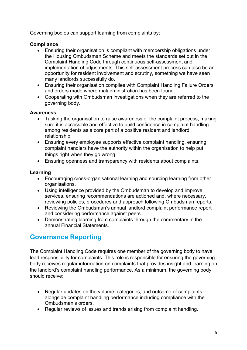Governing bodies can support learning from complaints by:

#### **Compliance**

- Ensuring their organisation is compliant with membership obligations under the Housing Ombudsman Scheme and meets the standards set out in the Complaint Handling Code through continuous self-assessment and implementation of adjustments. This self-assessment process can also be an opportunity for resident involvement and scrutiny, something we have seen many landlords successfully do.
- Ensuring their organisation complies with Complaint Handling Failure Orders and orders made where maladministration has been found.
- Cooperating with Ombudsman investigations when they are referred to the governing body.

#### **Awareness**

- Tasking the organisation to raise awareness of the complaint process, making sure it is accessible and effective to build confidence in complaint handling among residents as a core part of a positive resident and landlord relationship.
- Ensuring every employee supports effective complaint handling, ensuring complaint handlers have the authority within the organisation to help put things right when they go wrong.
- Ensuring openness and transparency with residents about complaints.

#### **Learning**

- Encouraging cross-organisational learning and sourcing learning from other organisations.
- Using intelligence provided by the Ombudsman to develop and improve services, ensuring recommendations are actioned and, where necessary, reviewing policies, procedures and approach following Ombudsman reports.
- Reviewing the Ombudsman's annual landlord complaint performance report and considering performance against peers.
- Demonstrating learning from complaints through the commentary in the annual Financial Statements.

## <span id="page-4-0"></span>**Governance Reporting**

The Complaint Handling Code requires one member of the governing body to have lead responsibility for complaints. This role is responsible for ensuring the governing body receives regular information on complaints that provides insight and learning on the landlord's complaint handling performance. As a minimum, the governing body should receive:

- Regular updates on the volume, categories, and outcome of complaints, alongside complaint handling performance including compliance with the Ombudsman's orders.
- Regular reviews of issues and trends arising from complaint handling.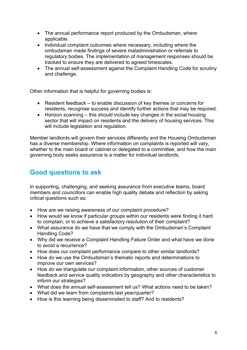- The annual performance report produced by the Ombudsman, where applicable.
- Individual complaint outcomes where necessary, including where the ombudsman made findings of severe maladministration or referrals to regulatory bodies. The implementation of management responses should be tracked to ensure they are delivered to agreed timescales.
- The annual self-assessment against the Complaint Handling Code for scrutiny and challenge.

Other information that is helpful for governing bodies is:

- Resident feedback to enable discussion of key themes or concerns for residents, recognise success and identify further actions that may be required.
- Horizon scanning this should include key changes in the social housing sector that will impact on residents and the delivery of housing services. This will include legislation and regulation.

Member landlords will govern their services differently and the Housing Ombudsman has a diverse membership. Where information on complaints is reported will vary, whether to the main board or cabinet or delegated to a committee, and how the main governing body seeks assurance is a matter for individual landlords.

## <span id="page-5-0"></span>**Good questions to ask**

In supporting, challenging, and seeking assurance from executive teams, board members and councillors can enable high quality debate and reflection by asking critical questions such as:

- How are we raising awareness of our complaint procedure?
- How would we know if particular groups within our residents were finding it hard to complain, or to achieve a satisfactory resolution of their complaint?
- What assurance do we have that we comply with the Ombudsman's Complaint Handling Code?
- Why did we receive a Complaint Handling Failure Order and what have we done to avoid a recurrence?
- How does our complaint performance compare to other similar landlords?
- How do we use the Ombudsman's thematic reports and determinations to improve our own services?
- How do we triangulate our complaint information, other sources of customer feedback and service quality indicators by geography and other characteristics to inform our strategies?
- What does the annual self-assessment tell us? What actions need to be taken?
- What did we learn from complaints last year/quarter?
- How is this learning being disseminated to staff? And to residents?